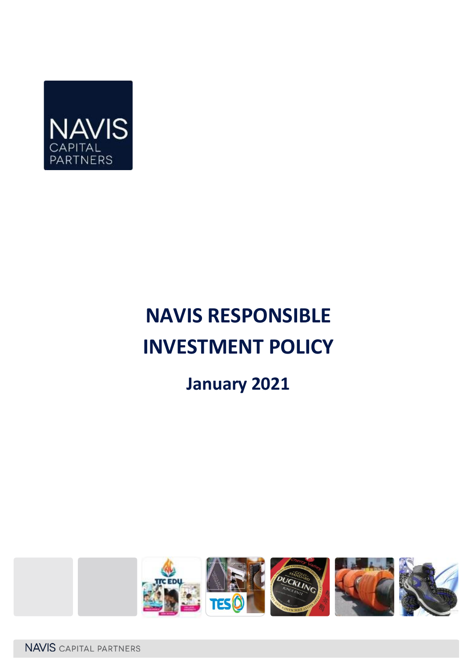

# **NAVIS RESPONSIBLE INVESTMENT POLICY**

# **January 2021**

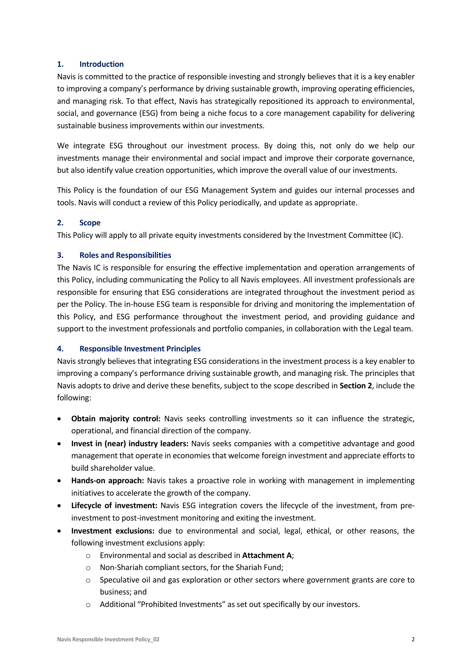# **1. Introduction**

Navis is committed to the practice of responsible investing and strongly believes that it is a key enabler to improving a company's performance by driving sustainable growth, improving operating efficiencies, and managing risk. To that effect, Navis has strategically repositioned its approach to environmental, social, and governance (ESG) from being a niche focus to a core management capability for delivering sustainable business improvements within our investments.

We integrate ESG throughout our investment process. By doing this, not only do we help our investments manage their environmental and social impact and improve their corporate governance, but also identify value creation opportunities, which improve the overall value of our investments.

This Policy is the foundation of our ESG Management System and guides our internal processes and tools. Navis will conduct a review of this Policy periodically, and update as appropriate.

# **2. Scope**

This Policy will apply to all private equity investments considered by the Investment Committee (IC).

# **3. Roles and Responsibilities**

The Navis IC is responsible for ensuring the effective implementation and operation arrangements of this Policy, including communicating the Policy to all Navis employees. All investment professionals are responsible for ensuring that ESG considerations are integrated throughout the investment period as per the Policy. The in-house ESG team is responsible for driving and monitoring the implementation of this Policy, and ESG performance throughout the investment period, and providing guidance and support to the investment professionals and portfolio companies, in collaboration with the Legal team.

# **4. Responsible Investment Principles**

Navis strongly believes that integrating ESG considerations in the investment process is a key enabler to improving a company's performance driving sustainable growth, and managing risk. The principles that Navis adopts to drive and derive these benefits, subject to the scope described in **Section 2**, include the following:

- **Obtain majority control:** Navis seeks controlling investments so it can influence the strategic, operational, and financial direction of the company.
- **Invest in (near) industry leaders:** Navis seeks companies with a competitive advantage and good management that operate in economies that welcome foreign investment and appreciate efforts to build shareholder value.
- **Hands-on approach:** Navis takes a proactive role in working with management in implementing initiatives to accelerate the growth of the company.
- **Lifecycle of investment:** Navis ESG integration covers the lifecycle of the investment, from preinvestment to post-investment monitoring and exiting the investment.
- **Investment exclusions:** due to environmental and social, legal, ethical, or other reasons, the following investment exclusions apply:
	- o Environmental and social as described in **Attachment A**;
	- o Non-Shariah compliant sectors, for the Shariah Fund;
	- $\circ$  Speculative oil and gas exploration or other sectors where government grants are core to business; and
	- o Additional "Prohibited Investments" as set out specifically by our investors.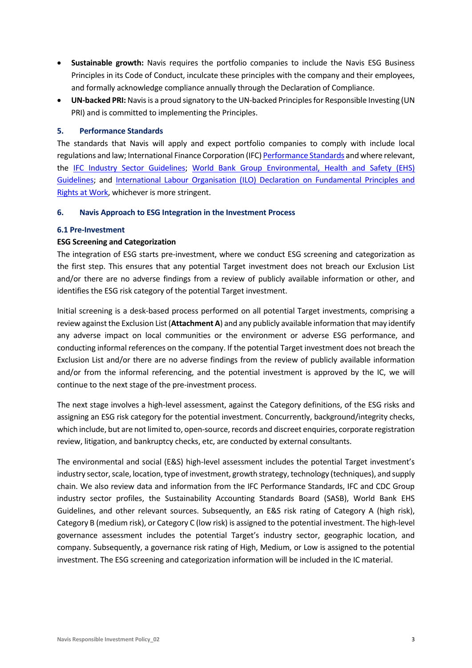- **Sustainable growth:** Navis requires the portfolio companies to include the Navis ESG Business Principles in its Code of Conduct, inculcate these principles with the company and their employees, and formally acknowledge compliance annually through the Declaration of Compliance.
- **UN-backed PRI:** Navis is a proud signatory to the UN-backed Principles for Responsible Investing (UN PRI) and is committed to implementing the Principles.

### **5. Performance Standards**

The standards that Navis will apply and expect portfolio companies to comply with include local regulations and law; International Finance Corporation (IFC[\) Performance Standards](https://www.ifc.org/wps/wcm/connect/Topics_Ext_Content/IFC_External_Corporate_Site/Sustainability-At-IFC/Policies-Standards/Performance-Standards) and where relevant, the [IFC Industry Sector Guidelines;](https://www.ifc.org/wps/wcm/connect/topics_ext_content/ifc_external_corporate_site/sustainability-at-ifc/policies-standards/ehs-guidelines) [World Bank Group Environmental, Health and Safety \(EHS\)](https://www.ifc.org/wps/wcm/connect/topics_ext_content/ifc_external_corporate_site/sustainability-at-ifc/policies-standards/ehs-guidelines/ehsguidelines)  [Guidelines;](https://www.ifc.org/wps/wcm/connect/topics_ext_content/ifc_external_corporate_site/sustainability-at-ifc/policies-standards/ehs-guidelines/ehsguidelines) and [International Labour Organisation \(ILO\) Declaration on Fundamental Principles and](https://www.ilo.org/global/standards/introduction-to-international-labour-standards/conventions-and-recommendations/lang--en/index.htm#:~:text=The%20ILO%20Governing%20Body%20has,forced%20or%20compulsory%20labour%3B%20the)  [Rights at Work,](https://www.ilo.org/global/standards/introduction-to-international-labour-standards/conventions-and-recommendations/lang--en/index.htm#:~:text=The%20ILO%20Governing%20Body%20has,forced%20or%20compulsory%20labour%3B%20the) whichever is more stringent.

#### **6. Navis Approach to ESG Integration in the Investment Process**

#### **6.1 Pre-Investment**

### **ESG Screening and Categorization**

The integration of ESG starts pre-investment, where we conduct ESG screening and categorization as the first step. This ensures that any potential Target investment does not breach our Exclusion List and/or there are no adverse findings from a review of publicly available information or other, and identifies the ESG risk category of the potential Target investment.

Initial screening is a desk-based process performed on all potential Target investments, comprising a review against the Exclusion List (**Attachment A**) and any publicly available information that may identify any adverse impact on local communities or the environment or adverse ESG performance, and conducting informal references on the company. If the potential Target investment does not breach the Exclusion List and/or there are no adverse findings from the review of publicly available information and/or from the informal referencing, and the potential investment is approved by the IC, we will continue to the next stage of the pre-investment process.

The next stage involves a high-level assessment, against the Category definitions, of the ESG risks and assigning an ESG risk category for the potential investment. Concurrently, background/integrity checks, which include, but are not limited to, open-source, records and discreet enquiries, corporate registration review, litigation, and bankruptcy checks, etc, are conducted by external consultants.

The environmental and social (E&S) high-level assessment includes the potential Target investment's industry sector, scale, location, type of investment, growth strategy, technology (techniques), and supply chain. We also review data and information from the IFC Performance Standards, IFC and CDC Group industry sector profiles, the Sustainability Accounting Standards Board (SASB), World Bank EHS Guidelines, and other relevant sources. Subsequently, an E&S risk rating of Category A (high risk), Category B (medium risk), or Category C (low risk) is assigned to the potential investment. The high-level governance assessment includes the potential Target's industry sector, geographic location, and company. Subsequently, a governance risk rating of High, Medium, or Low is assigned to the potential investment. The ESG screening and categorization information will be included in the IC material.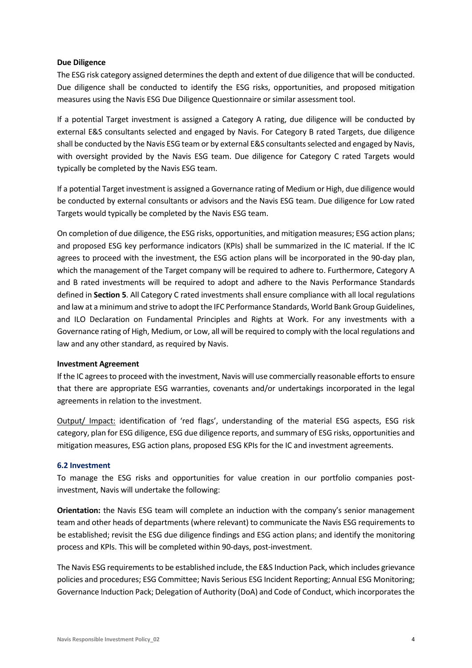### **Due Diligence**

The ESG risk category assigned determines the depth and extent of due diligence that will be conducted. Due diligence shall be conducted to identify the ESG risks, opportunities, and proposed mitigation measures using the Navis ESG Due Diligence Questionnaire or similar assessment tool.

If a potential Target investment is assigned a Category A rating, due diligence will be conducted by external E&S consultants selected and engaged by Navis. For Category B rated Targets, due diligence shall be conducted by the Navis ESG team or by external E&S consultants selected and engaged by Navis, with oversight provided by the Navis ESG team. Due diligence for Category C rated Targets would typically be completed by the Navis ESG team.

If a potential Target investment is assigned a Governance rating of Medium or High, due diligence would be conducted by external consultants or advisors and the Navis ESG team. Due diligence for Low rated Targets would typically be completed by the Navis ESG team.

On completion of due diligence, the ESG risks, opportunities, and mitigation measures; ESG action plans; and proposed ESG key performance indicators (KPIs) shall be summarized in the IC material. If the IC agrees to proceed with the investment, the ESG action plans will be incorporated in the 90-day plan, which the management of the Target company will be required to adhere to. Furthermore, Category A and B rated investments will be required to adopt and adhere to the Navis Performance Standards defined in **Section 5**. All Category C rated investments shall ensure compliance with all local regulations and law at a minimum and strive to adopt the IFC Performance Standards, World Bank Group Guidelines, and ILO Declaration on Fundamental Principles and Rights at Work. For any investments with a Governance rating of High, Medium, or Low, all will be required to comply with the local regulations and law and any other standard, as required by Navis.

#### **Investment Agreement**

If the IC agrees to proceed with the investment, Navis will use commercially reasonable efforts to ensure that there are appropriate ESG warranties, covenants and/or undertakings incorporated in the legal agreements in relation to the investment.

Output/ Impact: identification of 'red flags', understanding of the material ESG aspects, ESG risk category, plan for ESG diligence, ESG due diligence reports, and summary of ESG risks, opportunities and mitigation measures, ESG action plans, proposed ESG KPIs for the IC and investment agreements.

#### **6.2 Investment**

To manage the ESG risks and opportunities for value creation in our portfolio companies postinvestment, Navis will undertake the following:

**Orientation:** the Navis ESG team will complete an induction with the company's senior management team and other heads of departments (where relevant) to communicate the Navis ESG requirements to be established; revisit the ESG due diligence findings and ESG action plans; and identify the monitoring process and KPIs. This will be completed within 90-days, post-investment.

The Navis ESG requirements to be established include, the E&S Induction Pack, which includes grievance policies and procedures; ESG Committee; Navis Serious ESG Incident Reporting; Annual ESG Monitoring; Governance Induction Pack; Delegation of Authority (DoA) and Code of Conduct, which incorporates the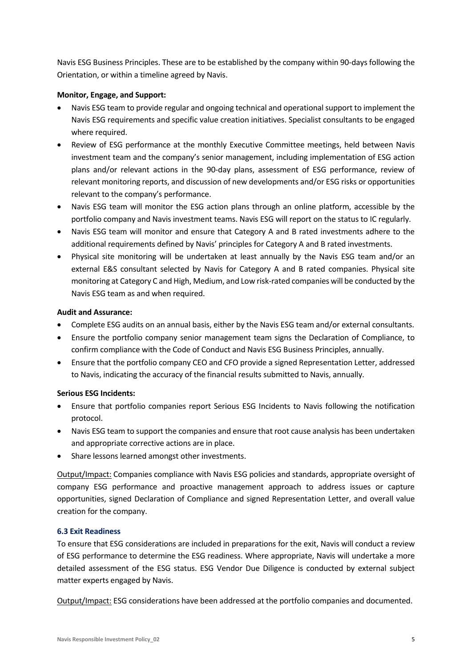Navis ESG Business Principles. These are to be established by the company within 90-days following the Orientation, or within a timeline agreed by Navis.

# **Monitor, Engage, and Support:**

- Navis ESG team to provide regular and ongoing technical and operational support to implement the Navis ESG requirements and specific value creation initiatives. Specialist consultants to be engaged where required.
- Review of ESG performance at the monthly Executive Committee meetings, held between Navis investment team and the company's senior management, including implementation of ESG action plans and/or relevant actions in the 90-day plans, assessment of ESG performance, review of relevant monitoring reports, and discussion of new developments and/or ESG risks or opportunities relevant to the company's performance.
- Navis ESG team will monitor the ESG action plans through an online platform, accessible by the portfolio company and Navis investment teams. Navis ESG will report on the status to IC regularly.
- Navis ESG team will monitor and ensure that Category A and B rated investments adhere to the additional requirements defined by Navis' principles for Category A and B rated investments.
- Physical site monitoring will be undertaken at least annually by the Navis ESG team and/or an external E&S consultant selected by Navis for Category A and B rated companies. Physical site monitoring at Category C and High, Medium, and Low risk-rated companies will be conducted by the Navis ESG team as and when required.

### **Audit and Assurance:**

- Complete ESG audits on an annual basis, either by the Navis ESG team and/or external consultants.
- Ensure the portfolio company senior management team signs the Declaration of Compliance, to confirm compliance with the Code of Conduct and Navis ESG Business Principles, annually.
- Ensure that the portfolio company CEO and CFO provide a signed Representation Letter, addressed to Navis, indicating the accuracy of the financial results submitted to Navis, annually.

# **Serious ESG Incidents:**

- Ensure that portfolio companies report Serious ESG Incidents to Navis following the notification protocol.
- Navis ESG team to support the companies and ensure that root cause analysis has been undertaken and appropriate corrective actions are in place.
- Share lessons learned amongst other investments.

Output/Impact: Companies compliance with Navis ESG policies and standards, appropriate oversight of company ESG performance and proactive management approach to address issues or capture opportunities, signed Declaration of Compliance and signed Representation Letter, and overall value creation for the company.

# **6.3 Exit Readiness**

To ensure that ESG considerations are included in preparations for the exit, Navis will conduct a review of ESG performance to determine the ESG readiness. Where appropriate, Navis will undertake a more detailed assessment of the ESG status. ESG Vendor Due Diligence is conducted by external subject matter experts engaged by Navis.

Output/Impact: ESG considerations have been addressed at the portfolio companies and documented.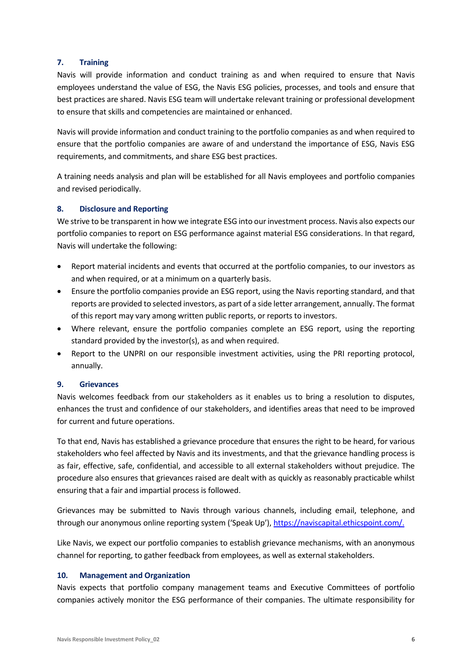# **7. Training**

Navis will provide information and conduct training as and when required to ensure that Navis employees understand the value of ESG, the Navis ESG policies, processes, and tools and ensure that best practices are shared. Navis ESG team will undertake relevant training or professional development to ensure that skills and competencies are maintained or enhanced.

Navis will provide information and conduct training to the portfolio companies as and when required to ensure that the portfolio companies are aware of and understand the importance of ESG, Navis ESG requirements, and commitments, and share ESG best practices.

A training needs analysis and plan will be established for all Navis employees and portfolio companies and revised periodically.

# **8. Disclosure and Reporting**

We strive to be transparent in how we integrate ESG into our investment process. Navis also expects our portfolio companies to report on ESG performance against material ESG considerations. In that regard, Navis will undertake the following:

- Report material incidents and events that occurred at the portfolio companies, to our investors as and when required, or at a minimum on a quarterly basis.
- Ensure the portfolio companies provide an ESG report, using the Navis reporting standard, and that reports are provided to selected investors, as part of a side letter arrangement, annually. The format of this report may vary among written public reports, or reports to investors.
- Where relevant, ensure the portfolio companies complete an ESG report, using the reporting standard provided by the investor(s), as and when required.
- Report to the UNPRI on our responsible investment activities, using the PRI reporting protocol, annually.

# **9. Grievances**

Navis welcomes feedback from our stakeholders as it enables us to bring a resolution to disputes, enhances the trust and confidence of our stakeholders, and identifies areas that need to be improved for current and future operations.

To that end, Navis has established a grievance procedure that ensures the right to be heard, for various stakeholders who feel affected by Navis and its investments, and that the grievance handling process is as fair, effective, safe, confidential, and accessible to all external stakeholders without prejudice. The procedure also ensures that grievances raised are dealt with as quickly as reasonably practicable whilst ensuring that a fair and impartial process is followed.

Grievances may be submitted to Navis through various channels, including email, telephone, and through our anonymous online reporting system ('Speak Up'), [https://naviscapital.ethicspoint.com/.](https://naviscapital.ethicspoint.com/)

Like Navis, we expect our portfolio companies to establish grievance mechanisms, with an anonymous channel for reporting, to gather feedback from employees, as well as external stakeholders.

# **10. Management and Organization**

Navis expects that portfolio company management teams and Executive Committees of portfolio companies actively monitor the ESG performance of their companies. The ultimate responsibility for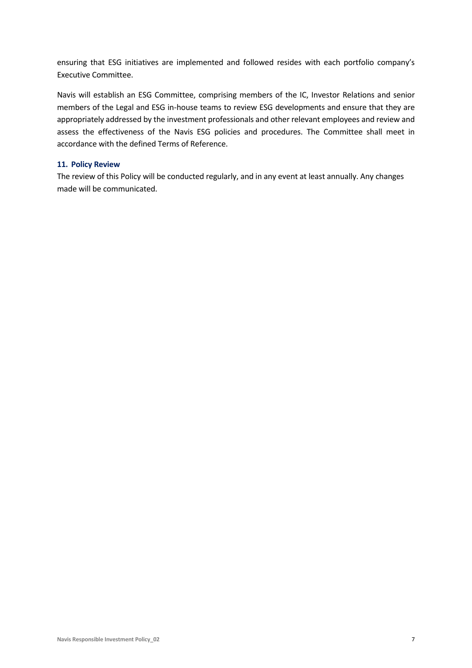ensuring that ESG initiatives are implemented and followed resides with each portfolio company's Executive Committee.

Navis will establish an ESG Committee, comprising members of the IC, Investor Relations and senior members of the Legal and ESG in-house teams to review ESG developments and ensure that they are appropriately addressed by the investment professionals and other relevant employees and review and assess the effectiveness of the Navis ESG policies and procedures. The Committee shall meet in accordance with the defined Terms of Reference.

#### **11. Policy Review**

The review of this Policy will be conducted regularly, and in any event at least annually. Any changes made will be communicated.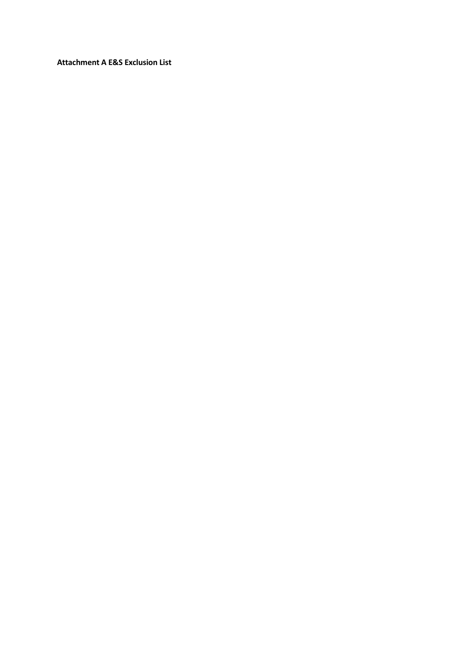**Attachment A E&S Exclusion List**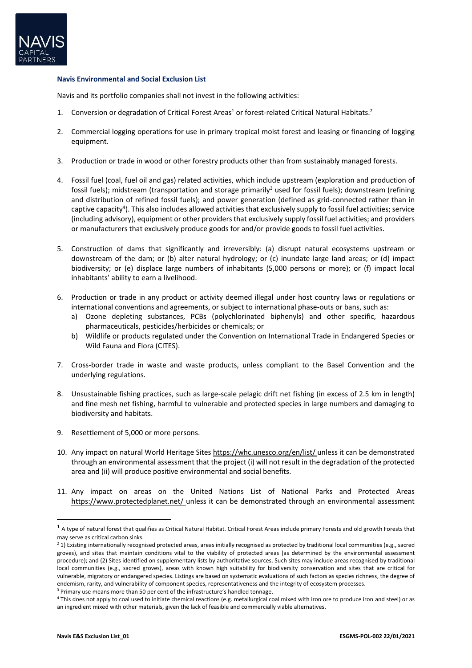

#### **Navis Environmental and Social Exclusion List**

Navis and its portfolio companies shall not invest in the following activities:

- 1. Conversion or degradation of Critical Forest Areas<sup>1</sup> or forest-related Critical Natural Habitats.<sup>2</sup>
- 2. Commercial logging operations for use in primary tropical moist forest and leasing or financing of logging equipment.
- 3. Production or trade in wood or other forestry products other than from sustainably managed forests.
- 4. Fossil fuel (coal, fuel oil and gas) related activities, which include upstream (exploration and production of fossil fuels); midstream (transportation and storage primarily<sup>3</sup> used for fossil fuels); downstream (refining and distribution of refined fossil fuels); and power generation (defined as grid-connected rather than in captive capacity<sup>4</sup>). This also includes allowed activities that exclusively supply to fossil fuel activities; service (including advisory), equipment or other providers that exclusively supply fossil fuel activities; and providers or manufacturers that exclusively produce goods for and/or provide goods to fossil fuel activities.
- 5. Construction of dams that significantly and irreversibly: (a) disrupt natural ecosystems upstream or downstream of the dam; or (b) alter natural hydrology; or (c) inundate large land areas; or (d) impact biodiversity; or (e) displace large numbers of inhabitants (5,000 persons or more); or (f) impact local inhabitants' ability to earn a livelihood.
- 6. Production or trade in any product or activity deemed illegal under host country laws or regulations or international conventions and agreements, or subject to international phase-outs or bans, such as:
	- a) Ozone depleting substances, PCBs (polychlorinated biphenyls) and other specific, hazardous pharmaceuticals, pesticides/herbicides or chemicals; or
	- b) Wildlife or products regulated under the Convention on International Trade in Endangered Species or Wild Fauna and Flora (CITES).
- 7. Cross-border trade in waste and waste products, unless compliant to the Basel Convention and the underlying regulations.
- 8. Unsustainable fishing practices, such as large-scale pelagic drift net fishing (in excess of 2.5 km in length) and fine mesh net fishing, harmful to vulnerable and protected species in large numbers and damaging to biodiversity and habitats.
- 9. Resettlement of 5,000 or more persons.
- 10. Any impact on natural World Heritage Sites <https://whc.unesco.org/en/list/> unless it can be demonstrated through an environmental assessment that the project (i) will not result in the degradation of the protected area and (ii) will produce positive environmental and social benefits.
- 11. Any impact on areas on the United Nations List of National Parks and Protected Areas <https://www.protectedplanet.net/> unless it can be demonstrated through an environmental assessment

 $^1$  A type of natural forest that qualifies as Critical Natural Habitat. Critical Forest Areas include primary Forests and old growth Forests that may serve as critical carbon sinks.

 $2$  1) Existing internationally recognised protected areas, areas initially recognised as protected by traditional local communities (e.g., sacred groves), and sites that maintain conditions vital to the viability of protected areas (as determined by the environmental assessment procedure); and (2) Sites identified on supplementary lists by authoritative sources. Such sites may include areas recognised by traditional local communities (e.g., sacred groves), areas with known high suitability for biodiversity conservation and sites that are critical for vulnerable, migratory or endangered species. Listings are based on systematic evaluations of such factors as species richness, the degree of endemism, rarity, and vulnerability of component species, representativeness and the integrity of ecosystem processes.

<sup>&</sup>lt;sup>3</sup> Primary use means more than 50 per cent of the infrastructure's handled tonnage.

<sup>4</sup> This does not apply to coal used to initiate chemical reactions (e.g. metallurgical coal mixed with iron ore to produce iron and steel) or as an ingredient mixed with other materials, given the lack of feasible and commercially viable alternatives.